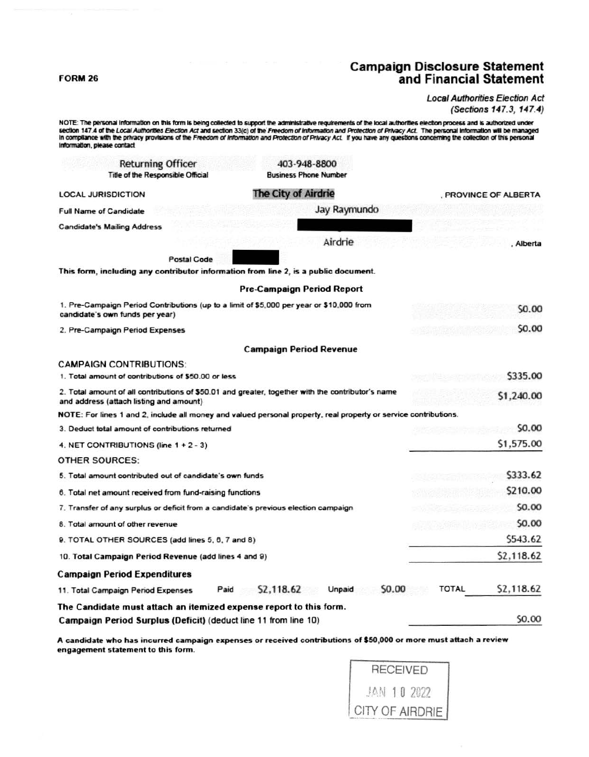#### **FORM 26**

# **Campaign Disclosure Statement** and Financial Statement

#### **Local Authorities Election Act** (Sections 147.3, 147.4)

NOTE: The personal information on this form is being collected to support the administrative requirements of the local authorities election process and is authorized under section 147.4 of the Local Authorities Election Act and section 33(c) of the Freedom of Information and Protection of Privacy Act. The personal information will be managed In compilance with the privacy provisions of the Freedom of Information and Protection of Privacy Act. If you have any questions concerning the collection of this personal Information, please contact **Returning Officer** 403-948-8800 Title of the Responsible Official **Business Phone Number LOCAL JURISDICTION** The City of Airdrie PROVINCE OF ALBERTA Jay Raymundo **Full Name of Candidate Candidate's Mailing Address** Airdrie , Alberta **Postal Code** This form, including any contributor information from line 2, is a public document. **Pre-Campaign Period Report** 1. Pre-Campaign Period Contributions (up to a limit of \$5,000 per year or \$10,000 from \$0,00 candidate's own funds per year) \$0.00 2. Pre-Campaign Period Expenses **Campaign Period Revenue CAMPAIGN CONTRIBUTIONS:** 1. Total amount of contributions of \$50.00 or less \$335.00 2. Total amount of all contributions of \$50.01 and greater, together with the contributor's name \$1,240.00 and address (attach listing and amount) NOTE: For lines 1 and 2, include all money and valued personal property, real property or service contributions. **SO.00** 3. Deduct total amount of contributions returned \$1,575.00 4. NET CONTRIBUTIONS (line 1 + 2 - 3) **OTHER SOURCES:** 5. Total amount contributed out of candidate's own funds \$333.62 \$210.00 6. Total net amount received from fund-raising functions 7. Transfer of any surplus or deficit from a candidate's previous election campaign \$0.00 8. Total amount of other revenue \$0.00 9. TOTAL OTHER SOURCES (add lines 5, 6, 7 and 8) \$543.62 \$2,118.62 10. Total Campaign Period Revenue (add lines 4 and 9) **Campaign Period Expenditures** Paid \$2,118.62 Unpaid \$0.00 **TOTAL** \$2,118.62 11. Total Campaign Period Expenses The Candidate must attach an itemized expense report to this form. \$0.00 Campaign Period Surplus (Deficit) (deduct line 11 from line 10)

A candidate who has incurred campaign expenses or received contributions of \$50,000 or more must attach a review engagement statement to this form.

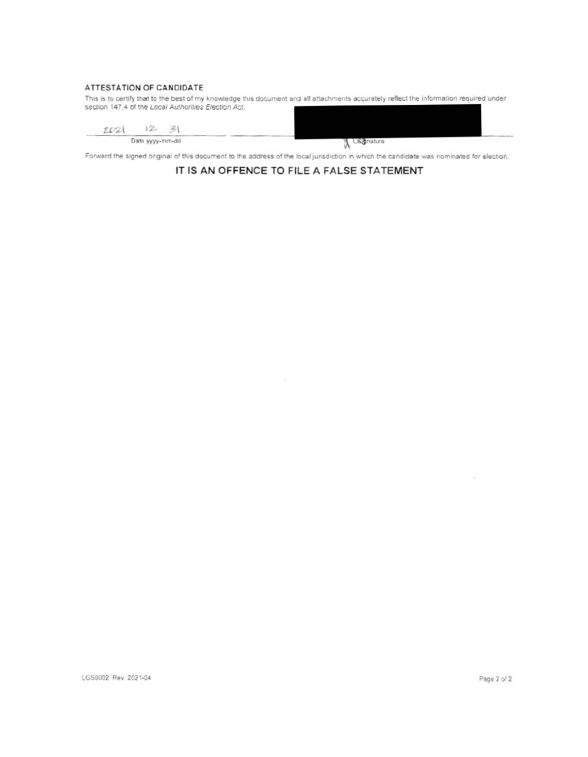### ATTESTATION OF CANDIDATE

This is to certify that to the best of my knowledge this document and all attachments accurately reflect the information required under section 147.4 of the Local Authorities Election Act.

2021 12 31 Date yyyy-mm-dd

**A** US Chature

Forward the signed original of this document to the address of the local jurisdiction in which the candidate was nominated for election.

## IT IS AN OFFENCE TO FILE A FALSE STATEMENT

 $\pm$ 

 $\sim$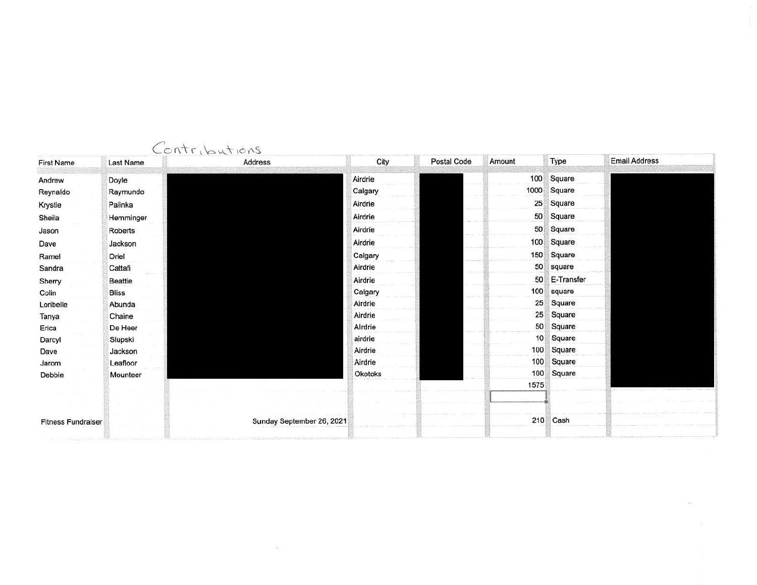| <b>First Name</b>         | <b>Last Name</b> | Contributions<br>Address  | City    | Postal Code | Amount | Type       | <b>Email Address</b> |
|---------------------------|------------------|---------------------------|---------|-------------|--------|------------|----------------------|
| Andrew                    | Doyle            |                           | Airdrie |             | 100    | Square     |                      |
| Reynaldo                  | Raymundo         |                           | Calgary |             | 1000   | Square     |                      |
| Krystle                   | Palinka          |                           | Airdrie |             | 25     | Square     |                      |
| Sheila                    | Hemminger        |                           | Airdrie |             | 50     | Square     |                      |
| Jason                     | Roberts          |                           | Airdrie |             | 50     | Square     |                      |
| Dave                      | Jackson          |                           | Airdrie |             | 100    | Square     |                      |
| Ramel                     | Oriel            |                           | Calgary |             | 150    | Square     |                      |
| Sandra                    | Cattafi          |                           | Airdrie |             | 50     | square     |                      |
| Sherry                    | <b>Beattie</b>   |                           | Airdrie |             | 50     | E-Transfer |                      |
| Colin                     | <b>Bliss</b>     |                           | Calgary |             | 100    | square     |                      |
| Loribelle                 | Abunda           |                           | Airdrie |             | 25     | Square     |                      |
| Tanya                     | Chaine           |                           | Airdrie |             | 25     | Square     |                      |
| Erica                     | De Heer          |                           | Alrdrie |             | 50     | Square     |                      |
| Darcyl                    | Slupski          |                           | airdrie |             | 10     | Square     |                      |
| Dave                      | Jackson          |                           | Airdrie |             | 100    | Square     |                      |
| Jarom                     | Leafloor         |                           | Airdrie |             | 100    | Square     |                      |
| Debbie                    | Mounteer         |                           | Okotoks |             | 100    | Square     |                      |
|                           |                  |                           |         |             | 1575   |            |                      |
| <b>Fitness Fundraiser</b> |                  | Sunday September 26, 2021 |         |             |        | 210 Cash   |                      |

 $\sim 100$ 

 $\mathcal{S}$